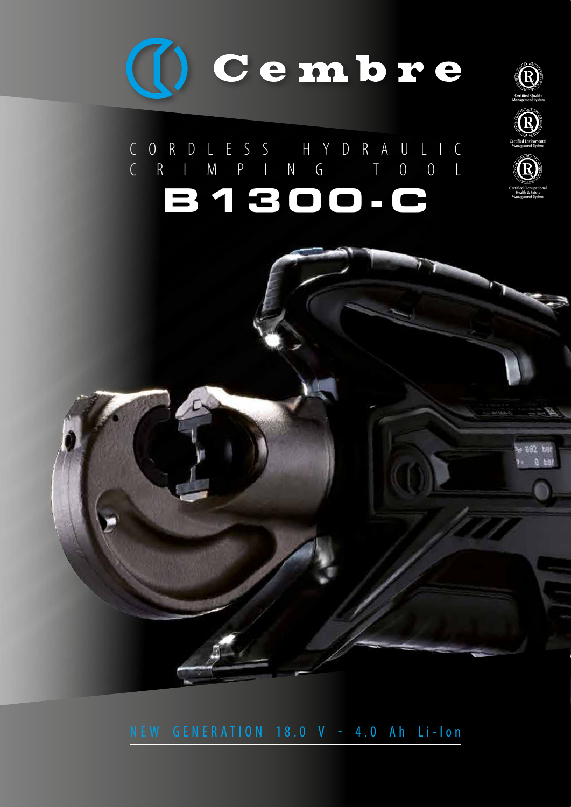

# c o r d l e s s h y d r a u l i c c R I M P I N G T O O L **B1300-C**





**Management System**



NEW GENERATION 18.0 V - 4.0 Ah Li-Ion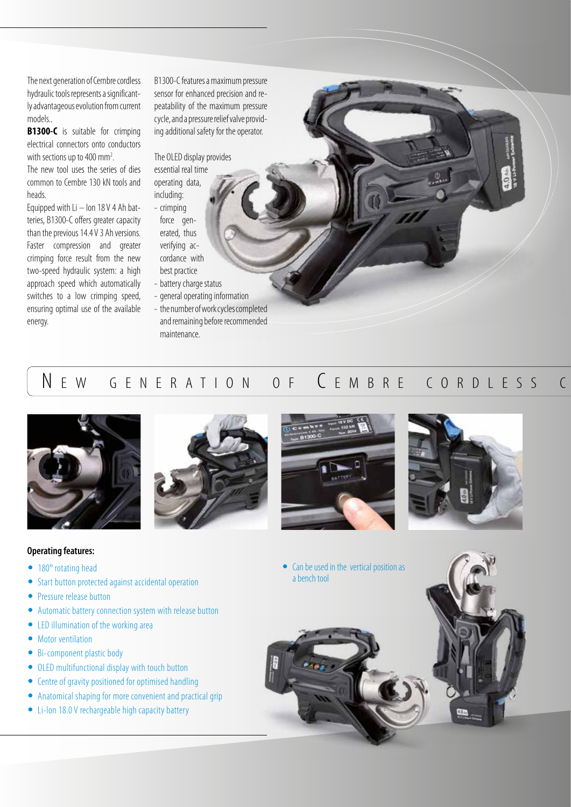The next generation of Cembre cordless hydraulic tools represents a significantly advantageous evolution from current models..

**B1300-C** is suitable for crimping electrical connectors onto conductors with sections up to 400 mm<sup>2</sup>. .

The new tool uses the series of dies common to Cembre 130 kN tools and heads.

Equipped with  $Li -$  Ion 18 V 4 Ah batteries, B1300-C offers greater capacity than the previous 14.4 V 3 Ah versions. Faster compression and greater crimping force result from the new two-speed hydraulic system: a high approach speed which automatically switches to a low crimping speed, ensuring optimal use of the available energy.

B1300-C features a maximum pressure sensor for enhanced precision and repeatability of the maximum pressure cycle, and a pressure relief valve providing additional safety for the operator.

The OLED display provides essential real time operating data,

- including: - crimping force generated, thus verifying accordance with
- best practice - battery charge status
- general operating information
- the number of work cycles completed and remaining before recommended maintenance.

### N E W G E N E R A T I O N O F C E M B R E C O R D L E S S C



### **Operating features:**

- **•** 180° rotating head
- **•** Start button protected against accidental operation
- **•** Pressure release button
- **•** Automatic battery connection system with release button
- **•** LED illumination of the working area
- **•** Motor ventilation
- **•** Bi-component plastic body
- **•** OLED multifunctional display with touch button
- **•** Centre of gravity positioned for optimised handling
- **•** Anatomical shaping for more convenient and practical grip
- **•** Li-Ion 18.0 V rechargeable high capacity battery





• Can be used in the vertical position as a bench tool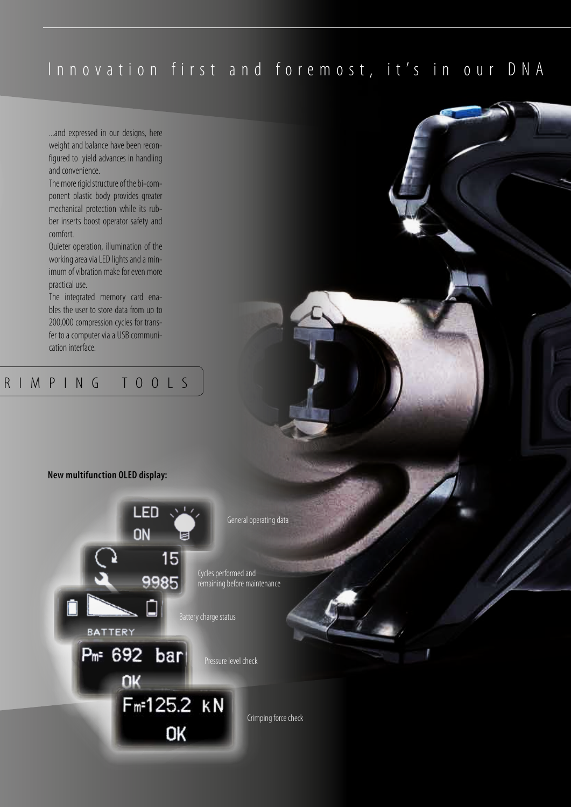## Innovation first and foremost, it's in our DNA

...and expressed in our designs, here weight and balance have been reconfigured to yield advances in handling and convenience.

The more rigid structure of the bi-component plastic body provides greater mechanical protection while its rub-